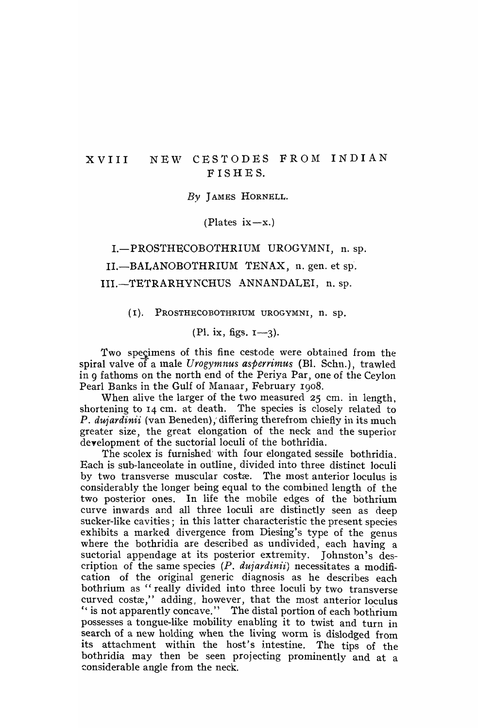# XVIII NEW CESTODES FROM INDIAN F IS HE S.

*By* J AMES HORNELL.

 $(Plates ix-x.)$ 

I.-PROSTHECOBOTHRIUM UROGYMNI, n. sp. II.-BALANOBOTHRIUM TENAX, n. gen. et sp. III.-TETRARHYNCHUS ANNANDALEI, n. sp.

(I). PROSTHECOBOTHR1UM UROGYMNI, n. sp.

 $(P1. ix, figs.  $1-3$ ).$ 

Two specimens of this fine cestode were obtained from the spiral valve of a male *Urogymnus asperrimus* (Bl. Schn.), trawled in 9 fathoms on the north end of the Periya Par, one of the Ceylon Pearl Banks in the Gulf of Manaar, February 1908.

When alive the larger of the two measured 25 cm. in length, shortening to I4 cm. at death. The species is closely related to P. dujardinii (van Beneden), differing therefrom chiefly in its much greater size, the great elongation of the neck and the superior deyelopment of the suctorial loculi of the bothridia.

The scolex is furnished' with four elongated sessile bothridia. Each is sub-Ianceolate in outline, divided into three distinct loculi by two transverse muscular costæ. The most anterior loculus is considerably the longer being equal to the combined length of the two posterior ones. In life the mobile edges of the bothrium curve inwards and all three loculi are distinctly seen as deep sucker-like cavities; in this latter characteristic the present species exhibits a marked divergence from Diesing's type of the genus where the bothridia are described as undivided, each having a suctorial appendage at its posterior extremity. Johnston's description of the same species (P. *dufardin'ii)* necessitates a modification of the original generic diagnosis as he describes each bothrium as "really divided into three loculi by two transverse curved costæ," adding, however, that the most anterior loculus " is not apparently concave." The distal portion of each bothrium possesses a tongue-like mobility enabling it to twist and turn in search of a new holding when the living worm is dislodged from its attachment within the host's intestine. The tips of the bothridia may then be seen projecting prominently and at a ~onsiderable angle from the neck.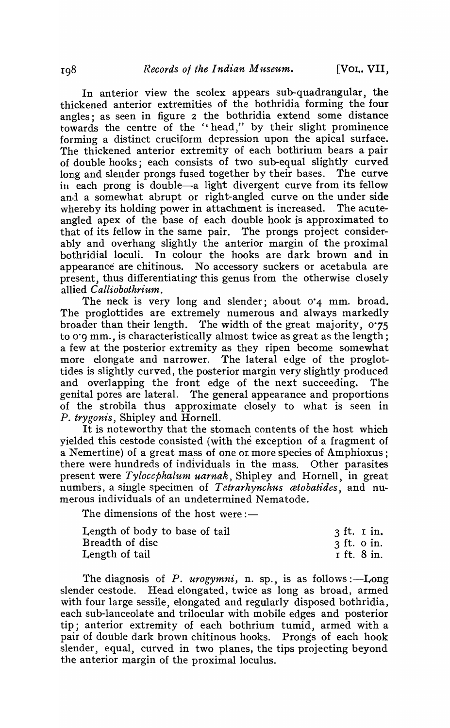In anterior view the scolex appears sub-quadrangular, the thickened anterior extremities of the bothridia forming the four angles; as seen in figure 2 the bothridia extend some distance towards the centre of the "head/' by their slight prominence forming a distinct cruciform depression upon the apical surface. The thickened anterior extremity of each bothrium bears a pair of double hooks; each consists of two sub-equal slightly curved long and slender prongs fused together by their bases. The curve in each prong is double-a light divergent curve from its fellow and a somewhat abrupt or right-angled curve on the under side whereby its holding power in attachment is increased. The acuteangled apex of the base of each double hook is approximated to that of its fellow in the same pair. The prongs project considerably and overhang slightly the anterior margin of the proximal bothridial loculi. In colour the hooks are dark brown and in appearance are chitinous. No accessory suckers or acetabula are present, thus differentiating this genus from the otherwise closely allied *Calliobothrium.* 

The neck is very long and slender; about 0'4 mm. broad. The proglottides are extremely nurnerous and always markedly broader than their length. The width of the great majority, 0.75 to 0'9 mm., is characteristically almost twice as great as the length; a few at the posterior extremity as they ripen become somewhat more elongate and narrower. The lateral edge of the proglottides is slightly curved, the posterior margin very slightly produced and overlapping the front edge of the next succeeding. The genital pores are lateral. The general appearance and proportions of the strobila thus approximate closely to what is seen in *P. trygonis,* Shipley and Hornell.

It is noteworthy that the stomach contents of the host which yielded this cestode consisted (with the exception of a fragment of a Nemertine) of a great mass of one or more species of Amphioxus; there were hundreds of individuals in the mass. Other parasites present were *Tylocephalum uarnak*, Shipley and Hornell, in great numbers, a single specimen of *Tetrarhynchus cetobatides,* and numerous individuals of an undetermined Nematode.

The dimensions of the host were:-

| Length of body to base of tail | $\delta$ ft. I in. |
|--------------------------------|--------------------|
| Breadth of disc                | $\beta$ ft. o in.  |
| Length of tail                 | I ft. 8 in.        |

The diagnosis of *P. urogymni*, n. sp., is as follows :—Long slender cestode. Head elongated, twice as long as broad, armed with four large sessile, elongated and regularly disposed bothridia, each sub-lanceolate and trilocular with mobile edges and posterior tip; anterior extremity of each bothrium tumid, armed with a pair of double dark brown chitinous hooks. Prongs of each hook slender, equal, curved in two planes, the tips projecting beyond the anterior margin of the proximal loculus.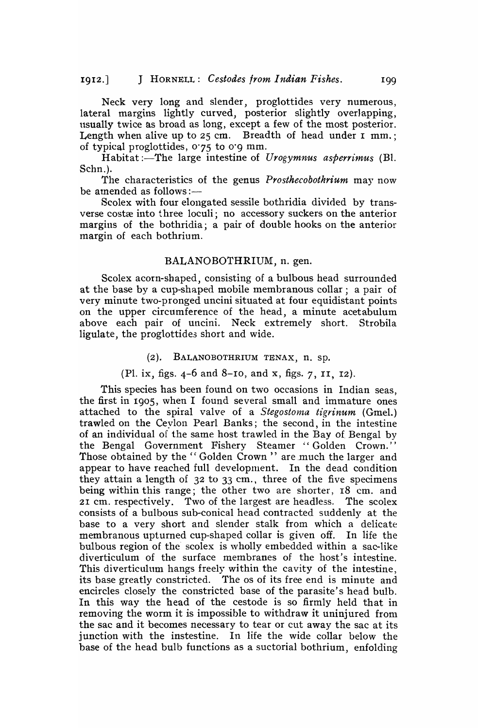Neck very long and slender, proglottides very numerous, lateral margins lightly curved, posterior slightly overlapping, usually twice as broad as long, except a few of the most posterior. Length when alive up to  $25$  cm. Breadth of head under I mm.; of typical proglottides, 0'75 to o'g mm.

Habitat :- The large intestine of *Urogymnus asperrimus* (Bl. Schn.).

The characteristics of the genus *Prosthecobothrium* may now be amended as follows : $-$ 

Scolex with four elongated sessile bothridia divided by transverse costæ into three loculi; no accessory suckers on the anterior margins of the bothridia; a pair of double hooks on the anterior margin of each bothrium.

#### BALANOBOTHRIUM, n. gen.

Scolex acorn-shaped, consisting of a bulbous head surrounded at the base by a cup-shaped mobile membranous collar; a pair of very minute two-pronged uncini situated at four equidistant points on the upper circumference of the head, a minute acetabulum above each pair of uncini. Neck extremely short. Strobila ligulate, the proglottides short and wide.

#### (2). BALANOBOTHRIUM TENAX, n. sp.

(PI. ix, figs. 4-6 and 8-10, and x, figs. 7, II, 12).

This species has been found on two occasions in Indian seas, the first in 1905, when I found several small and immature ones attached to the spiral valve of a *Stegostoma tigrinum* (Gmel.) trawled on the Ceylon Pearl Banks; the second, in the intestine of an individual of the same host trawled in the Bay of Bengal by the Bengal Government Fishery Steamer "Golden Crown." Those obtained by the "Golden Crown" are much the larger and appear to have reached full development. In the dead condition they attain a length of 32 to 33 cm., three of the five specimens being within this range; the other two are shorter, 18 em. and 21 em. respectively. Two of the largest are headless. The scolex consists of a bulbous sub-conical head contracted suddenly at the base to a very short and slender stalk from which a delicate membranous upturned cup-shaped collar is given off. In life the bulbous region of the scolex is wholly embedded within a sac-like diverticulum of the surface membranes of the host's intestine. This diverticulum hangs freely within the cavity of the intestine, its base greatly constricted. The os of its free end is minute and encircles closely the constricted base of the parasite's head bulb. In this way the head of the cestode is so firmly held that in removing the worm it is impossible to withdraw it uninjured from the sac and it becomes necessary to tear or cut away the sac at its junction with the instestine. In life the wide collar below the base of the head bulb functions as a suctorial bothrium, enfolding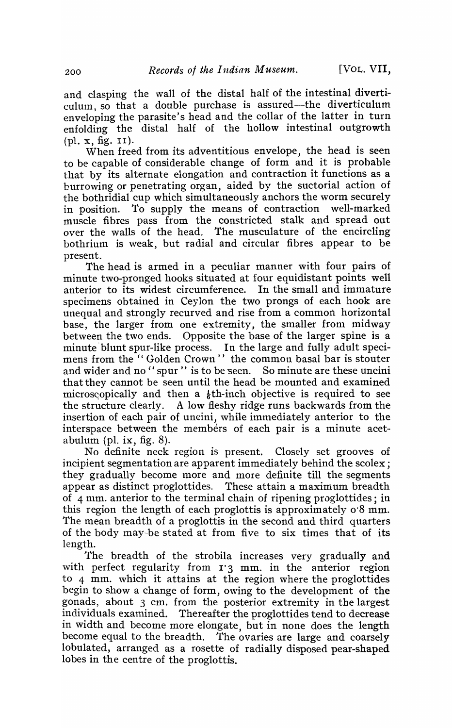and clasping the wall of the distal half of the intestinal diverticulum, so that a double purchase is assured—the diverticulum enveloping the parasite's head and the collar of the latter in turn enfolding the distal half of the hollow intestinal outgrowth (pI. x, fig. II).

When freed from its adventitious envelope, the head is seen to be capable of considerable change of form and it is probable that by its alternate elongation and contraction it functions as a burrowing or penetrating organ, aided by the suctorial action of the bothridial cup which simultaneously anchors the worm securely in position. To supply the means of contraction well-marked muscle fibres pass from the constricted stalk and spread out over the walls of the head. The musculature of the encircling bothrium is \veak, but radial and circular fibres appear to be present.

The head is armed in a peculiar manner with four pairs of minute two-pronged hooks situated at four equidistant points well anterior to its widest circumference. In the small and immature specimens obtained in Ceylon the two prongs of each hook are unequal and strongly recurved and rise from a common horizontal base, the larger from one extremity, the smaller from midway between the two ends. Opposite the base of the larger spine is a minute blunt spur-like process. In the large and fully adult specimens from the "Golden Crown" the common basal bar is stouter and wider and no "spur" is to be seen. So minute are these uncini that they cannot be seen until the head be mounted and examined microscopically and then a  $\frac{1}{6}$ th-inch objective is required to see the structure clearly. A low fleshy ridge runs backwards from the insertion of each pair of uncini, while immediately anterior to the interspace between the members of each pair is a minute acetabulum (pl. ix, fig.  $8$ ).

No definite neck region is present. Closely set grooves of incipient segmentation are apparent immediately behind the scolex; they gradually become more and more definite till the segments appear as distinct proglottides. These attain a maximum breadth of 4 mm. anterior to the terminal chain of ripening proglottides; in this region the length of each proglottis is approximately 0'8 mm. The mean breadth of a proglottis in the second and third quarters of the body may-be stated at from five to six times that of its length.

The breadth of the strobila increases very gradually and with perfect regularity from  $r_3$  mm. in the anterior region to 4 mm. which it attains at the region where the proglottides begin to show a change of form, owing to the development of the gonads, about 3 cm. from the posterior extremity in the largest individuals examined. Thereafter the proglottides tend to decrease in width and become more elongate, but in none does the length become equal to the breadth. The ovaries are large and coarsely lobulated, arranged as a rosette of radially disposed pear-shaped lobes in the centre of the proglottis.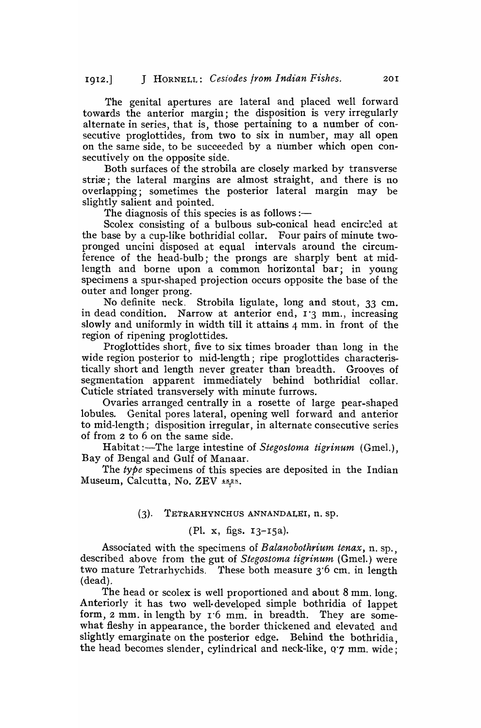The genital apertures are lateral and placed well forward towards the anterior margin; the disposition is very irregularly alternate in series, that is, those pertaining to a number of consecutive proglottides, from two to six in number, may all open on the same side, to be succeeded by a number which open consecutively on the opposite side.

Both surfaces of the strobila are closely marked by transverse striae; the lateral margins are almost straight, and there is no overlapping; sometimes the posterior lateral margin may be slightly salient and pointed.

The diagnosis of this species is as follows :—

Scolex consisting of a bulbous sub-conical head encircled at the base by a cup-like bothridial collar. Four pairs of minute twopronged uncini disposed at equal intervals around the circumference of the head-bulb; the prongs are sharply bent at midlength and borne upon a common horizontal bar; in young specimens a spur-shaped projection occurs opposite the base of the outer and longer prong.

No definite neck. Strobila ligulate, long and stout, 33 cm. in dead condition. Narrow at anterior end,  $I^3$  mm., increasing slowly and uniformly in width till it attains 4 mm. in front of the region of ripening proglottides.

Proglottides short, five to six times broader than long in the wide region posterior to mid-length; ripe proglottides characteristically short and length never greater than breadth. Grooves of segmentation apparent immediately behind bothridial collar. Cuticle striated transversely with minute furrows.

Ovaries arranged centrally in a rosette of large pear-shaped lobules. Genital pores lateral, opening well forward and anterior to mid-length; disposition irregular, in alternate consecutive series of from 2 to 6 on the same side.

Habitat :-The large intestine of *Stegostoma tigrinum* (Gmel.), Bay of Bengal and Gulf of Manaar.

The type specimens of this species are deposited in the Indian Museum, Calcutta, No. ZEV  $\frac{48.28}{100}$ .

### (3). TETRARHYNCHUS ANNANDALEI, n. sp.

## (PI. x, figs. 13-15a).

Associated with the specimens of *Balanobothrium tenax,* n. sp., described above from the gut of *Stegostoma tigrinum* (Gmel.) were two mature Tetrarhychids. These both measure 3'6 cm. in length (dead).

The head or scolex is well proportioned and about 8 mm. long. Anteriorly it has two well-developed simple bothridia of lappet form, 2 mm. in length by 1'6 mm. in breadth. They are somewhat fleshy in appearance, the border thickened and elevated and slightly emarginate on the posterior edge. Behind the bothridia, the head becomes slender, cylindrical and neck-like, Q'7 mm. wide;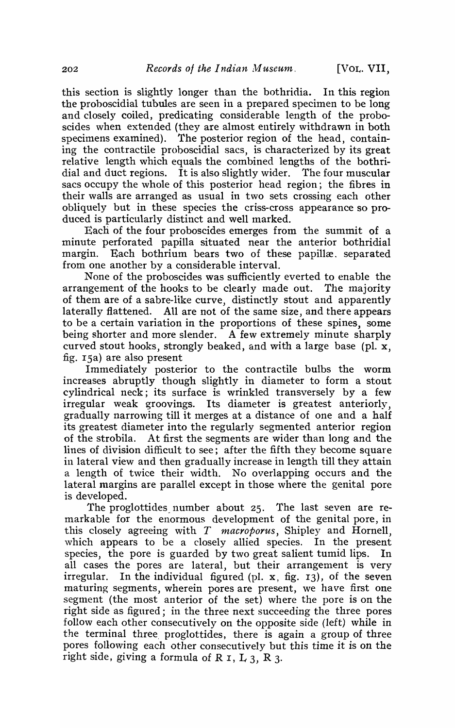this section is slightly longer than the bothridia. In this region the proboscidial tubules are seen in a prepared specimen to be long and closely coiled, predicating considerable length of the proboscides when extended (they are almost entirely withdrawn in both specimens examined). The posterior region of the head, containing the contractile proboscidial sacs, is characterized by its great relative length which equals the combined lengths of the bothridial and duct regions. It is also slightly wider. The four muscular sacs occupy the whole of this posterior head region; the fibres in their walls are arranged as usual in two sets crossing each other obliquely but in these species the criss-cross appearance so produced is particularly distinct and well marked.

Each of the four proboscides emerges from the summit of a minute perforated papilla situated near the anterior bothridial margin. Each bothrium bears two of these papillæ. separated from one another by a considerable interval.

None of the proboscides was sufficiently everted to enable the arrangement of the hooks to be clearly made out. The majority of them are of a sabre-like curve, distinctly stout and apparently laterally flattened. All are not of the same size, and there appears to be a certain variation in the proportions of these spines, some being shorter and more slender. A few extremely minute sharply curved stout hooks, strongly beaked, and with a large base (pl. x, fig.  $15a$ ) are also present

Immediately posterior to the contractile bulbs the worm increases abruptly though slightly in diameter to form a stout cylindrical neck; its surface is wrinkled transversely by a few irregular weak groovings. Its diameter is greatest anteriorly, gradually narrowing till it merges at a distance of one and a half its greatest diameter into the regularly segmented anterior region of the strobila. At first the segments are wider than long and the lines of division difficult to see; after the fifth they become square in lateral view and then gradually increase in length till they attain a length of twice their width. No overlapping occurs and the lateral margins are parallel except in those where the genital pore is developed.

The proglottides number about  $25$ . The last seven are remarkable for the enormous development of the genital pore, in this closely agreeing with T *macroporus,* Shipley and Hornell, which appears to be a closely allied species. In the present species, the pore is guarded by two great salient tumid lips. In all cases the pores are lateral, but their arrangement is very irregular. In the individual figured (pl.  $x$ , fig. 13), of the seven maturing segments, wherein pores are present, we have first one segment (the most anterior of the set) where the pore is on the right side as figured; in the three next succeeding the three pores follow each other consecutively on the opposite side (left) while in the terminal three proglottides, there is again a group of three pores following each other consecutively but this time it is on the right side, giving a formula of R I, L  $_3$ , R  $_3$ .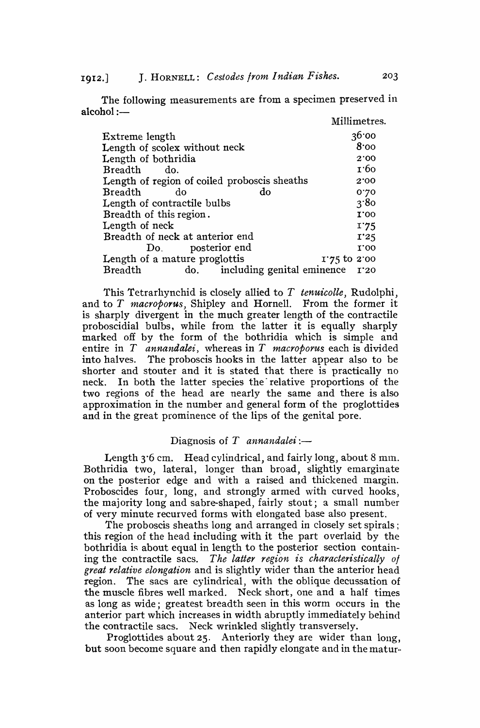1912.] J. HORNELL: *Cestodes from Indian Fishes.* 203

The following measurements are from a specimen preserved in  $alcohol :=$ 

|                                                  | Millimetres. |
|--------------------------------------------------|--------------|
| Extreme length                                   | 36'00        |
| Length of scolex without neck                    | 8.00         |
| Length of bothridia                              | 2'00         |
| Breadth<br>do.                                   | 1.60         |
| Length of region of coiled proboscis sheaths     | 2'00         |
| do<br>Breadth<br>do                              | 0.20         |
| Length of contractile bulbs                      | 3'80         |
| Breadth of this region.                          | 1.00         |
| Length of neck                                   | 1'75         |
| Breadth of neck at anterior end                  | I'25         |
| Do. posterior end                                | 1.00         |
| Length of a mature proglottis<br>$1.75$ to 2.00  |              |
| do. including genital eminence<br><b>Breadth</b> | I'20         |

This Tetrarhynchid is closely allied to *T tenuicolle*, Rudolphi, and to *T* macroporus, Shipley and Hornell. From the former it is sharply divergent in the much greater length of the contractile proboscidial bulbs, while from the latter it is equally sharply marked off by the form of the bothridia which is simple and entire in *T annandalei,* whereas in *T macroporus* each is divided into halves. The proboscis hooks in the latter appear also to be shorter and stouter and it is stated that there is practically no neck. In both the latter species the' relative proportions of the two regions of the head are nearly the same and there is also approximation in the number and general form of the proglottides and in the great prominence of the lips of the genital pore,

### Diagnosis of  $T$  *annandalei* :-

Length  $3.6$  cm. Head cylindrical, and fairly long, about  $8$  mm. Bothridia two, lateral, longer than broad, slightly emarginate on the posterior edge and with a raised and thickened margin, Proboscides four, long, and strongly armed with curved hooks, the majority long and sabre-shaped, fairly stout; a small number of very minute recurved forms with elongated base also present,

The proboscis sheaths long and arranged in closely set spirals; this region of the head including with it the part overlaid by the bothridia is about equal in length to the posterior section containing the contractile sacs. *The latter region is characteristically of great relative elongation* and is slightly wider than the anterior head region. The sacs are cylindrical, with the oblique decussation of the muscle fibres well marked. Neck short, one and a half times as long as wide; greatest breadth seen in this worm occurs in the anterior part which increases in width abruptly immediately behind the contractile sacs. Neck wrinkled slightly transversely.

Proglottides about 25, Anteriorly they are wider than long, but soon become square and then rapidly elongate and in the matur